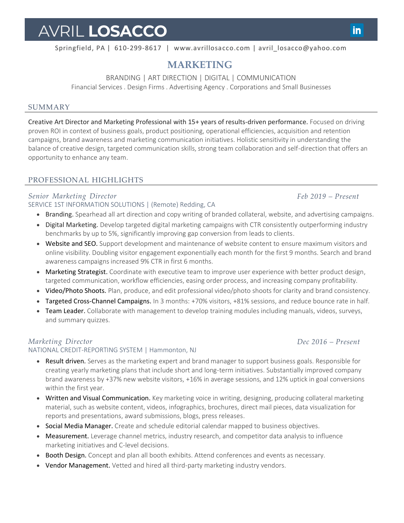# AVRIL **LOSACCO**

#### Springfield, PA | 610-299-8617 | www.avrillosacco.com | avril losacco@yahoo.com

# **MARKETING**

BRANDING | ART DIRECTION | DIGITAL | COMMUNICATION

Financial Services . Design Firms . Advertising Agency . Corporations and Small Businesses

### **SUMMARY**

Creative Art Director and Marketing Professional with 15+ years of results-driven performance. Focused on driving proven ROI in context of business goals, product positioning, operational efficiencies, acquisition and retention campaigns, brand awareness and marketing communication initiatives. Holistic sensitivity in understanding the balance of creative design, targeted communication skills, strong team collaboration and self-direction that offers an opportunity to enhance any team.

### PROFESSIONAL HIGHLIGHTS

# *Senior Marketing Director*

SERVICE 1ST INFORMATION SOLUTIONS | (Remote) Redding, CA

- Branding. Spearhead all art direction and copy writing of branded collateral, website, and advertising campaigns.
- Digital Marketing. Develop targeted digital marketing campaigns with CTR consistently outperforming industry benchmarks by up to 5%, significantly improving gap conversion from leads to clients.
- Website and SEO. Support development and maintenance of website content to ensure maximum visitors and online visibility. Doubling visitor engagement exponentially each month for the first 9 months. Search and brand awareness campaigns increased 9% CTR in first 6 months.
- Marketing Strategist. Coordinate with executive team to improve user experience with better product design, targeted communication, workflow efficiencies, easing order process, and increasing company profitability.
- Video/Photo Shoots. Plan, produce, and edit professional video/photo shoots for clarity and brand consistency.
- Targeted Cross-Channel Campaigns. In 3 months: +70% visitors, +81% sessions, and reduce bounce rate in half.
- Team Leader. Collaborate with management to develop training modules including manuals, videos, surveys, and summary quizzes.

### *Marketing Director*

### NATIONAL CREDIT-REPORTING SYSTEM | Hammonton, NJ

- Result driven. Serves as the marketing expert and brand manager to support business goals. Responsible for creating yearly marketing plans that include short and long-term initiatives. Substantially improved company brand awareness by +37% new website visitors, +16% in average sessions, and 12% uptick in goal conversions within the first year.
- Written and Visual Communication. Key marketing voice in writing, designing, producing collateral marketing material, such as website content, videos, infographics, brochures, direct mail pieces, data visualization for reports and presentations, award submissions, blogs, press releases.
- Social Media Manager. Create and schedule editorial calendar mapped to business objectives.
- Measurement. Leverage channel metrics, industry research, and competitor data analysis to influence marketing initiatives and C-level decisions.
- Booth Design. Concept and plan all booth exhibits. Attend conferences and events as necessary.
- Vendor Management. Vetted and hired all third-party marketing industry vendors.

*Dec 2016 – Present* 

*Feb 2019 – Present* 

in.